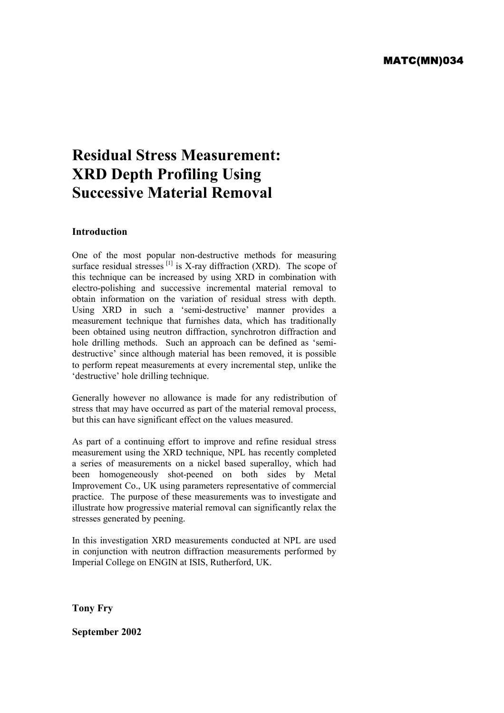# **Residual Stress Measurement: XRD Depth Profiling Using Successive Material Removal**

## **Introduction**

One of the most popular non-destructive methods for measuring surface residual stresses  $\begin{bmatrix} 1 \end{bmatrix}$  is X-ray diffraction (XRD). The scope of this technique can be increased by using XRD in combination with electro-polishing and successive incremental material removal to obtain information on the variation of residual stress with depth. Using XRD in such a 'semi-destructive' manner provides a measurement technique that furnishes data, which has traditionally been obtained using neutron diffraction, synchrotron diffraction and hole drilling methods. Such an approach can be defined as 'semidestructive' since although material has been removed, it is possible to perform repeat measurements at every incremental step, unlike the 'destructive' hole drilling technique.

Generally however no allowance is made for any redistribution of stress that may have occurred as part of the material removal process, but this can have significant effect on the values measured.

As part of a continuing effort to improve and refine residual stress measurement using the XRD technique, NPL has recently completed a series of measurements on a nickel based superalloy, which had been homogeneously shot-peened on both sides by Metal Improvement Co., UK using parameters representative of commercial practice. The purpose of these measurements was to investigate and illustrate how progressive material removal can significantly relax the stresses generated by peening.

In this investigation XRD measurements conducted at NPL are used in conjunction with neutron diffraction measurements performed by Imperial College on ENGIN at ISIS, Rutherford, UK.

**Tony Fry** 

**September 2002**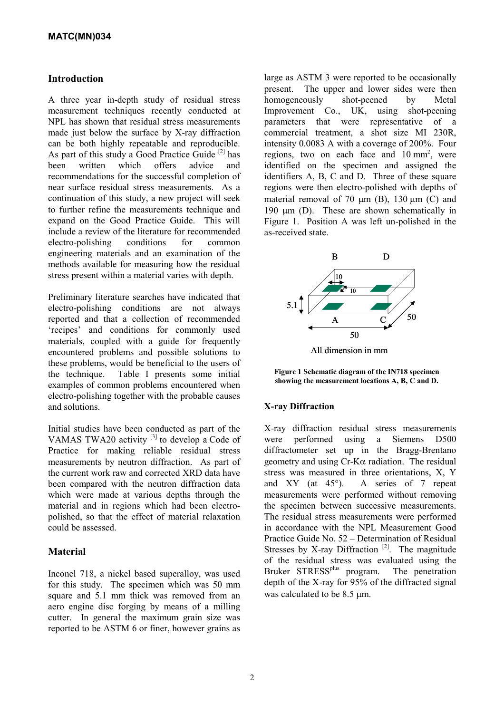## **Introduction**

A three year in-depth study of residual stress measurement techniques recently conducted at NPL has shown that residual stress measurements made just below the surface by X-ray diffraction can be both highly repeatable and reproducible. As part of this study a Good Practice Guide  $[2]$  has been written which offers advice and recommendations for the successful completion of near surface residual stress measurements. As a continuation of this study, a new project will seek to further refine the measurements technique and expand on the Good Practice Guide. This will include a review of the literature for recommended electro-polishing conditions for common engineering materials and an examination of the methods available for measuring how the residual stress present within a material varies with depth.

Preliminary literature searches have indicated that electro-polishing conditions are not always reported and that a collection of recommended 'recipes' and conditions for commonly used materials, coupled with a guide for frequently encountered problems and possible solutions to these problems, would be beneficial to the users of the technique. Table I presents some initial examples of common problems encountered when electro-polishing together with the probable causes and solutions.

Initial studies have been conducted as part of the VAMAS TWA20 activity  $[3]$  to develop a Code of Practice for making reliable residual stress measurements by neutron diffraction. As part of the current work raw and corrected XRD data have been compared with the neutron diffraction data which were made at various depths through the material and in regions which had been electropolished, so that the effect of material relaxation could be assessed.

# **Material**

Inconel 718, a nickel based superalloy, was used for this study. The specimen which was 50 mm square and 5.1 mm thick was removed from an aero engine disc forging by means of a milling cutter. In general the maximum grain size was reported to be ASTM 6 or finer, however grains as large as ASTM 3 were reported to be occasionally present. The upper and lower sides were then homogeneously shot-peened by Metal Improvement Co., UK, using shot-peening parameters that were representative of a commercial treatment, a shot size MI 230R, intensity 0.0083 A with a coverage of 200%. Four regions, two on each face and  $10 \text{ mm}^2$ , were identified on the specimen and assigned the identifiers A, B, C and D. Three of these square regions were then electro-polished with depths of material removal of 70  $\mu$ m (B), 130  $\mu$ m (C) and 190  $\mu$ m (D). These are shown schematically in Figure 1. Position A was left un-polished in the as-received state.



**Figure 1 Schematic diagram of the IN718 specimen showing the measurement locations A, B, C and D.**

# **X-ray Diffraction**

X-ray diffraction residual stress measurements were performed using a Siemens D500 diffractometer set up in the Bragg-Brentano geometry and using  $Cr-K\alpha$  radiation. The residual stress was measured in three orientations, X, Y and XY (at 45°). A series of 7 repeat measurements were performed without removing the specimen between successive measurements. The residual stress measurements were performed in accordance with the NPL Measurement Good Practice Guide No. 52 – Determination of Residual Stresses by X-ray Diffraction<sup>[2]</sup>. The magnitude of the residual stress was evaluated using the Bruker STRESS<sup>plus</sup> program. The penetration depth of the X-ray for 95% of the diffracted signal was calculated to be 8.5  $\mu$ m.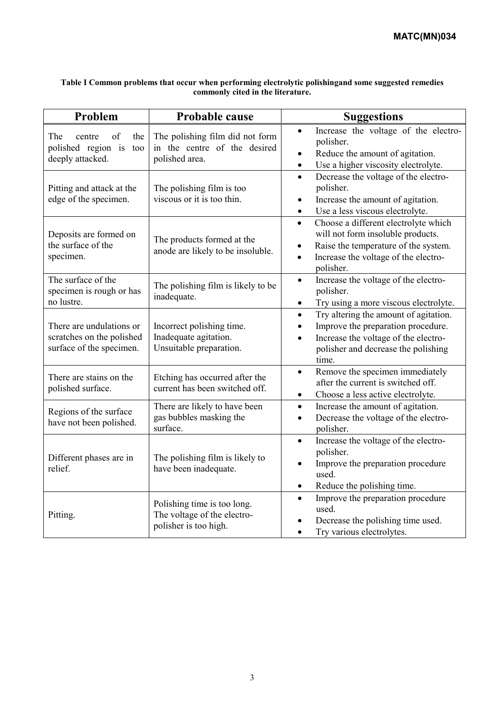| Table I Common problems that occur when performing electrolytic polishingand some suggested remedies |
|------------------------------------------------------------------------------------------------------|
| commonly cited in the literature.                                                                    |

| Problem                                                                           | Probable cause                                                                      | <b>Suggestions</b>                                                                                                                                                                                            |
|-----------------------------------------------------------------------------------|-------------------------------------------------------------------------------------|---------------------------------------------------------------------------------------------------------------------------------------------------------------------------------------------------------------|
| The<br>of<br>the<br>centre<br>polished region is<br>too<br>deeply attacked.       | The polishing film did not form<br>in the centre of the desired<br>polished area.   | Increase the voltage of the electro-<br>$\bullet$<br>polisher.<br>Reduce the amount of agitation.<br>$\bullet$<br>Use a higher viscosity electrolyte.<br>$\bullet$                                            |
| Pitting and attack at the<br>edge of the specimen.                                | The polishing film is too<br>viscous or it is too thin.                             | Decrease the voltage of the electro-<br>$\bullet$<br>polisher.<br>Increase the amount of agitation.<br>$\bullet$<br>Use a less viscous electrolyte.<br>$\bullet$                                              |
| Deposits are formed on<br>the surface of the<br>specimen.                         | The products formed at the<br>anode are likely to be insoluble.                     | Choose a different electrolyte which<br>$\bullet$<br>will not form insoluble products.<br>Raise the temperature of the system.<br>$\bullet$<br>Increase the voltage of the electro-<br>$\bullet$<br>polisher. |
| The surface of the<br>specimen is rough or has<br>no lustre.                      | The polishing film is likely to be<br>inadequate.                                   | Increase the voltage of the electro-<br>$\bullet$<br>polisher.<br>Try using a more viscous electrolyte.<br>$\bullet$                                                                                          |
| There are undulations or<br>scratches on the polished<br>surface of the specimen. | Incorrect polishing time.<br>Inadequate agitation.<br>Unsuitable preparation.       | Try altering the amount of agitation.<br>$\bullet$<br>Improve the preparation procedure.<br>$\bullet$<br>Increase the voltage of the electro-<br>$\bullet$<br>polisher and decrease the polishing<br>time.    |
| There are stains on the<br>polished surface.                                      | Etching has occurred after the<br>current has been switched off.                    | Remove the specimen immediately<br>$\bullet$<br>after the current is switched off.<br>Choose a less active electrolyte.<br>٠                                                                                  |
| Regions of the surface<br>have not been polished.                                 | There are likely to have been<br>gas bubbles masking the<br>surface.                | Increase the amount of agitation.<br>$\bullet$<br>Decrease the voltage of the electro-<br>$\bullet$<br>polisher.                                                                                              |
| Different phases are in<br>relief.                                                | The polishing film is likely to<br>have been inadequate.                            | Increase the voltage of the electro-<br>$\bullet$<br>polisher.<br>Improve the preparation procedure<br>used.<br>Reduce the polishing time.<br>$\bullet$                                                       |
| Pitting.                                                                          | Polishing time is too long.<br>The voltage of the electro-<br>polisher is too high. | Improve the preparation procedure<br>$\bullet$<br>used.<br>Decrease the polishing time used.<br>Try various electrolytes.                                                                                     |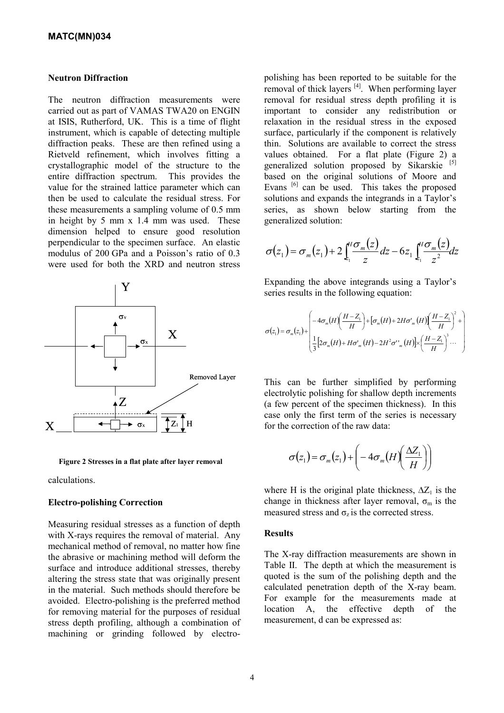#### **Neutron Diffraction**

The neutron diffraction measurements were carried out as part of VAMAS TWA20 on ENGIN at ISIS, Rutherford, UK. This is a time of flight instrument, which is capable of detecting multiple diffraction peaks. These are then refined using a Rietveld refinement, which involves fitting a crystallographic model of the structure to the entire diffraction spectrum. This provides the value for the strained lattice parameter which can then be used to calculate the residual stress. For these measurements a sampling volume of 0.5 mm in height by 5 mm x 1.4 mm was used. These dimension helped to ensure good resolution perpendicular to the specimen surface. An elastic modulus of 200 GPa and a Poisson's ratio of 0.3 were used for both the XRD and neutron stress



Figure 2 Stresses in a flat plate after layer removal

calculations.

#### **Electro-polishing Correction**

Measuring residual stresses as a function of depth with X-rays requires the removal of material. Any mechanical method of removal, no matter how fine the abrasive or machining method will deform the surface and introduce additional stresses, thereby altering the stress state that was originally present in the material. Such methods should therefore be avoided. Electro-polishing is the preferred method for removing material for the purposes of residual stress depth profiling, although a combination of machining or grinding followed by electropolishing has been reported to be suitable for the removal of thick layers  $[4]$ . When performing layer removal for residual stress depth profiling it is important to consider any redistribution or relaxation in the residual stress in the exposed surface, particularly if the component is relatively thin. Solutions are available to correct the stress values obtained. For a flat plate (Figure 2) a generalized solution proposed by Sikarskie [5] based on the original solutions of Moore and Evans<sup>[6]</sup> can be used. This takes the proposed solutions and expands the integrands in a Taylor's series, as shown below starting from the generalized solution:

$$
\sigma(z_1) = \sigma_m(z_1) + 2 \int_{z_1}^{H} \frac{\sigma_m(z)}{z} dz - 6z_1 \int_{z_1}^{H} \frac{\sigma_m(z)}{z^2} dz
$$

Expanding the above integrands using a Taylor's Sexpanding the above integrands using<br>series results in the following equation:

$$
\sigma(z_1) = \sigma_m(z_1) + \begin{pmatrix} -4\sigma_m(H)\left(\frac{H-Z_1}{H}\right) + \left[\sigma_m(H) + 2H\sigma'_m(H)\right]\left(\frac{H-Z_1}{H}\right)^2 + \\ \frac{1}{3}\left[2\sigma_m(H) + H\sigma'_m(H) - 2H^2\sigma'^m_m(H)\right] \times \left(\frac{H-Z_1}{H}\right)^3 \cdots \end{pmatrix}
$$

This can be further simplified by performing electrolytic polishing for shallow depth increments (a few percent of the specimen thickness). In this case only the first term of the series is necessary for the correction of the raw data:

$$
\sigma(z_1) = \sigma_m(z_1) + \left(-4\sigma_m(H)\left(\frac{\Delta Z_1}{H}\right)\right)
$$

where H is the original plate thickness,  $\Delta Z_1$  is the change in thickness after layer removal,  $\sigma_m$  is the measured stress and  $\sigma_z$  is the corrected stress.

#### **Results**

The X-ray diffraction measurements are shown in Table II. The depth at which the measurement is quoted is the sum of the polishing depth and the calculated penetration depth of the X-ray beam. For example for the measurements made at location A, the effective depth of the measurement, d can be expressed as: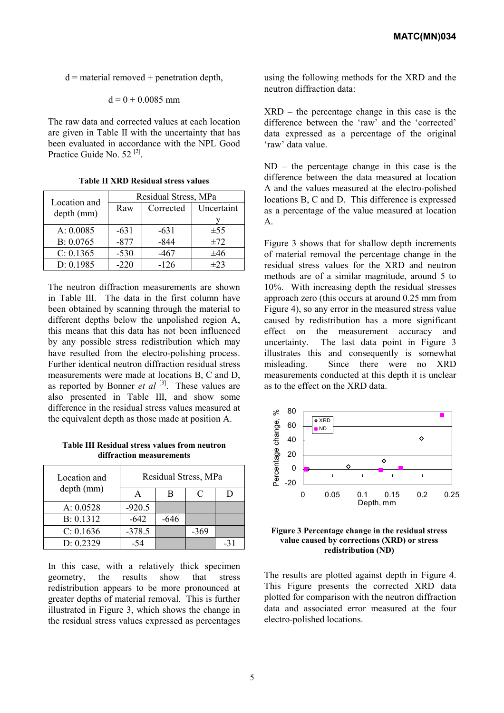$d$  = material removed + penetration depth,

$$
d = 0 + 0.0085
$$
 mm

The raw data and corrected values at each location are given in Table II with the uncertainty that has been evaluated in accordance with the NPL Good Practice Guide No. 52 [2].

| Location and | Residual Stress, MPa |           |            |  |
|--------------|----------------------|-----------|------------|--|
| depth (mm)   | Raw                  | Corrected | Uncertaint |  |
|              |                      |           |            |  |
| A: 0.0085    | $-631$               | $-631$    | $\pm$ 55   |  |
| B: 0.0765    | $-877$               | $-844$    | ±72        |  |
| C: 0.1365    | $-530$               | $-467$    | ±46        |  |
| D: 0.1985    | $-220$               | $-126$    | $\pm$ 23   |  |

**Table II XRD Residual stress values** 

The neutron diffraction measurements are shown in Table III. The data in the first column have been obtained by scanning through the material to different depths below the unpolished region A, this means that this data has not been influenced by any possible stress redistribution which may have resulted from the electro-polishing process. Further identical neutron diffraction residual stress measurements were made at locations B, C and D, as reported by Bonner *et al* [3]. These values are also presented in Table III, and show some difference in the residual stress values measured at the equivalent depth as those made at position A.

**Table III Residual stress values from neutron diffraction measurements**

| Location and | Residual Stress, MPa |        |      |     |
|--------------|----------------------|--------|------|-----|
| depth (mm)   |                      | В      | C    |     |
| A: 0.0528    | $-920.5$             |        |      |     |
| B: 0.1312    | $-642$               | $-646$ |      |     |
| C: 0.1636    | $-378.5$             |        | -369 |     |
| D: 0.2329    | -54                  |        |      | -31 |

In this case, with a relatively thick specimen geometry, the results show that stress redistribution appears to be more pronounced at greater depths of material removal. This is further illustrated in Figure 3, which shows the change in the residual stress values expressed as percentages using the following methods for the XRD and the neutron diffraction data:

XRD – the percentage change in this case is the difference between the 'raw' and the 'corrected' data expressed as a percentage of the original 'raw' data value.

ND – the percentage change in this case is the difference between the data measured at location A and the values measured at the electro-polished locations B, C and D. This difference is expressed as a percentage of the value measured at location A.

Figure 3 shows that for shallow depth increments of material removal the percentage change in the residual stress values for the XRD and neutron methods are of a similar magnitude, around 5 to 10%. With increasing depth the residual stresses approach zero (this occurs at around 0.25 mm from Figure 4), so any error in the measured stress value caused by redistribution has a more significant effect on the measurement accuracy and uncertainty. The last data point in Figure 3 illustrates this and consequently is somewhat misleading. Since there were no XRD measurements conducted at this depth it is unclear as to the effect on the XRD data.





The results are plotted against depth in Figure 4. This Figure presents the corrected XRD data plotted for comparison with the neutron diffraction data and associated error measured at the four electro-polished locations.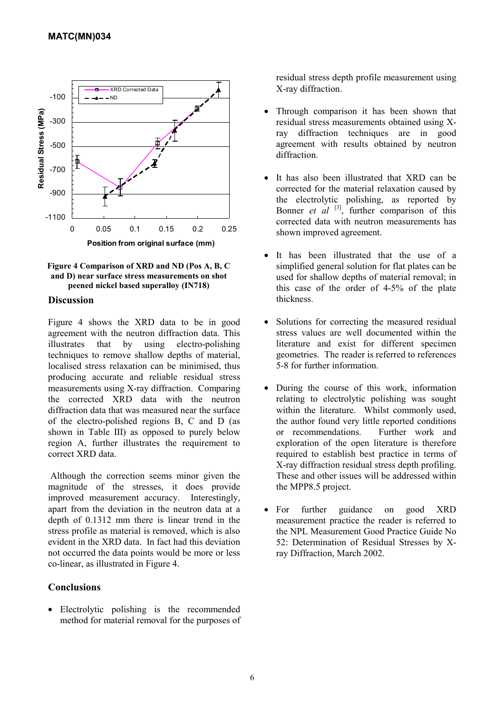



#### **Discussion**

Figure 4 shows the XRD data to be in good agreement with the neutron diffraction data. This illustrates that by using electro-polishing techniques to remove shallow depths of material, localised stress relaxation can be minimised, thus producing accurate and reliable residual stress measurements using X-ray diffraction. Comparing the corrected XRD data with the neutron diffraction data that was measured near the surface of the electro-polished regions B, C and D (as shown in Table III) as opposed to purely below region A, further illustrates the requirement to correct XRD data.

Although the correction seems minor given the magnitude of the stresses, it does provide improved measurement accuracy. Interestingly, apart from the deviation in the neutron data at a depth of 0.1312 mm there is linear trend in the stress profile as material is removed, which is also evident in the XRD data. In fact had this deviation not occurred the data points would be more or less co-linear, as illustrated in Figure 4.

## **Conclusions**

• Electrolytic polishing is the recommended method for material removal for the purposes of residual stress depth profile measurement using X-ray diffraction.

- Through comparison it has been shown that residual stress measurements obtained using Xray diffraction techniques are in good agreement with results obtained by neutron diffraction.
- It has also been illustrated that XRD can be corrected for the material relaxation caused by the electrolytic polishing, as reported by Bonner *et al* <sup>[3]</sup>, further comparison of this corrected data with neutron measurements has shown improved agreement.
- It has been illustrated that the use of a simplified general solution for flat plates can be used for shallow depths of material removal; in this case of the order of 4-5% of the plate thickness.
- Solutions for correcting the measured residual stress values are well documented within the literature and exist for different specimen geometries. The reader is referred to references 5-8 for further information.
- During the course of this work, information relating to electrolytic polishing was sought within the literature. Whilst commonly used, the author found very little reported conditions or recommendations. Further work and exploration of the open literature is therefore required to establish best practice in terms of X-ray diffraction residual stress depth profiling. These and other issues will be addressed within the MPP8.5 project.
- For further guidance on good XRD measurement practice the reader is referred to the NPL Measurement Good Practice Guide No 52: Determination of Residual Stresses by Xray Diffraction, March 2002.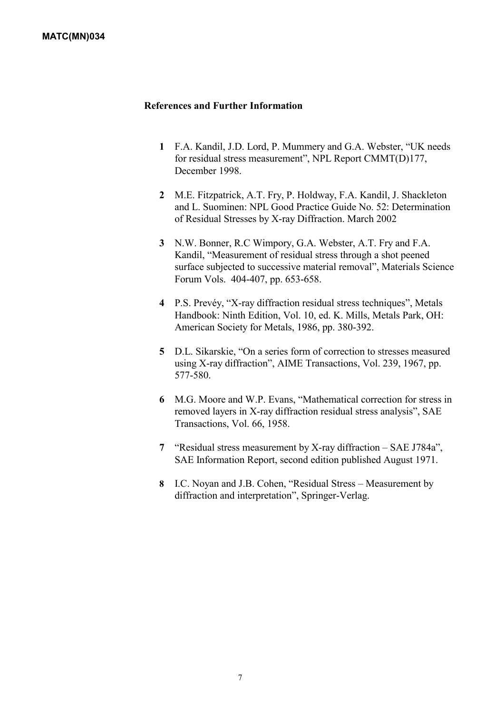## **References and Further Information**

- **1** F.A. Kandil, J.D. Lord, P. Mummery and G.A. Webster, "UK needs for residual stress measurement", NPL Report CMMT(D)177, December 1998.
- **2** M.E. Fitzpatrick, A.T. Fry, P. Holdway, F.A. Kandil, J. Shackleton and L. Suominen: NPL Good Practice Guide No. 52: Determination of Residual Stresses by X-ray Diffraction. March 2002
- **3** N.W. Bonner, R.C Wimpory, G.A. Webster, A.T. Fry and F.A. Kandil, "Measurement of residual stress through a shot peened surface subjected to successive material removal", Materials Science Forum Vols. 404-407, pp. 653-658.
- **4** P.S. Prevéy, "X-ray diffraction residual stress techniques", Metals Handbook: Ninth Edition, Vol. 10, ed. K. Mills, Metals Park, OH: American Society for Metals, 1986, pp. 380-392.
- **5** D.L. Sikarskie, "On a series form of correction to stresses measured using X-ray diffraction", AIME Transactions, Vol. 239, 1967, pp. 577-580.
- **6** M.G. Moore and W.P. Evans, "Mathematical correction for stress in removed layers in X-ray diffraction residual stress analysis", SAE Transactions, Vol. 66, 1958.
- **7** "Residual stress measurement by X-ray diffraction SAE J784a", SAE Information Report, second edition published August 1971.
- **8** I.C. Noyan and J.B. Cohen, "Residual Stress Measurement by diffraction and interpretation", Springer-Verlag.